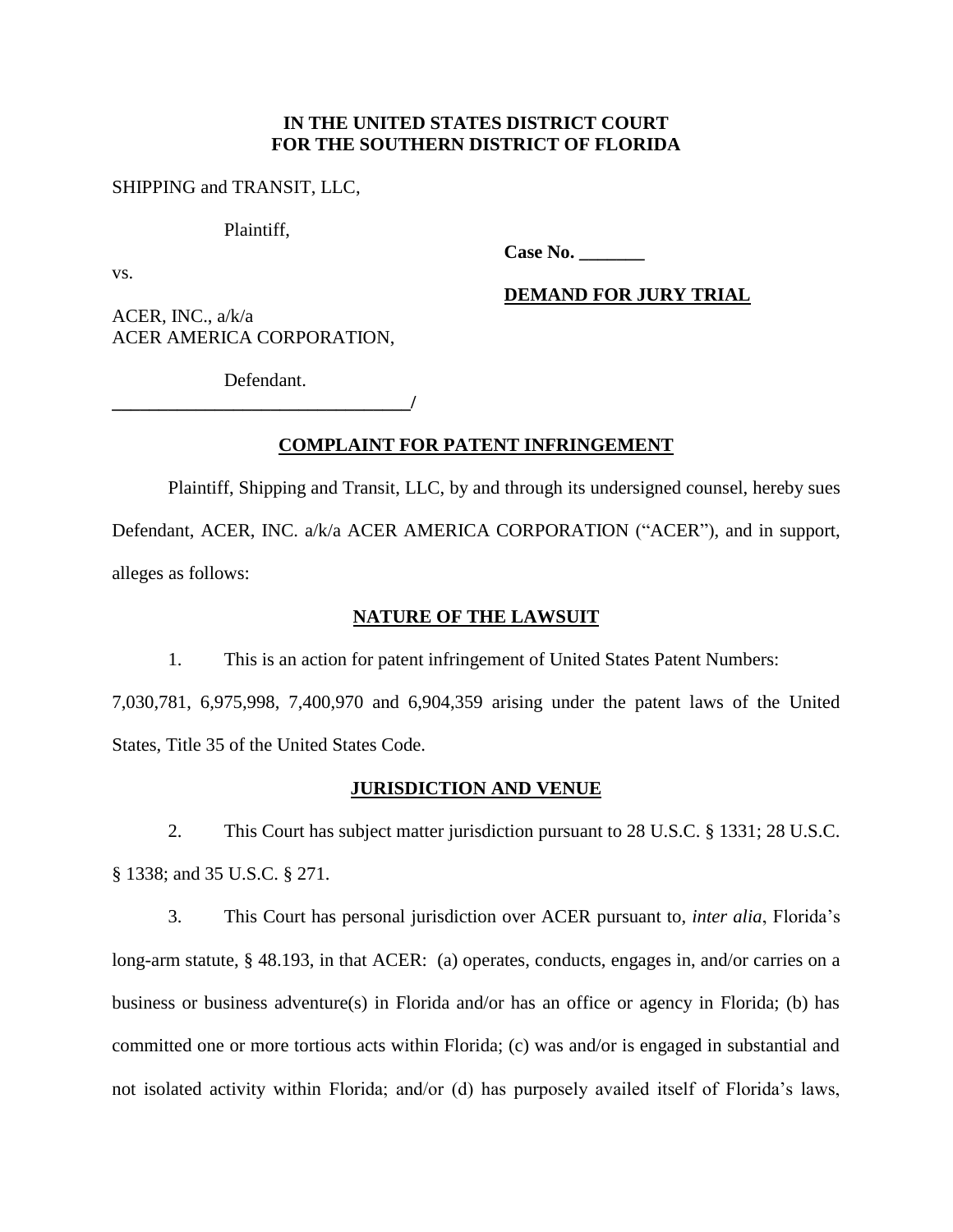## **IN THE UNITED STATES DISTRICT COURT FOR THE SOUTHERN DISTRICT OF FLORIDA**

## SHIPPING and TRANSIT, LLC,

#### Plaintiff,

**Case No. \_\_\_\_\_\_\_**

vs.

**DEMAND FOR JURY TRIAL**

ACER, INC., a/k/a ACER AMERICA CORPORATION,

Defendant. **\_\_\_\_\_\_\_\_\_\_\_\_\_\_\_\_\_\_\_\_\_\_\_\_\_\_\_\_\_\_\_\_/**

# **COMPLAINT FOR PATENT INFRINGEMENT**

Plaintiff, Shipping and Transit, LLC, by and through its undersigned counsel, hereby sues Defendant, ACER, INC. a/k/a ACER AMERICA CORPORATION ("ACER"), and in support, alleges as follows:

## **NATURE OF THE LAWSUIT**

1. This is an action for patent infringement of United States Patent Numbers:

7,030,781, 6,975,998, 7,400,970 and 6,904,359 arising under the patent laws of the United States, Title 35 of the United States Code.

## **JURISDICTION AND VENUE**

2. This Court has subject matter jurisdiction pursuant to 28 U.S.C. § 1331; 28 U.S.C. § 1338; and 35 U.S.C. § 271.

3. This Court has personal jurisdiction over ACER pursuant to, *inter alia*, Florida's long-arm statute, § 48.193, in that ACER: (a) operates, conducts, engages in, and/or carries on a business or business adventure(s) in Florida and/or has an office or agency in Florida; (b) has committed one or more tortious acts within Florida; (c) was and/or is engaged in substantial and not isolated activity within Florida; and/or (d) has purposely availed itself of Florida's laws,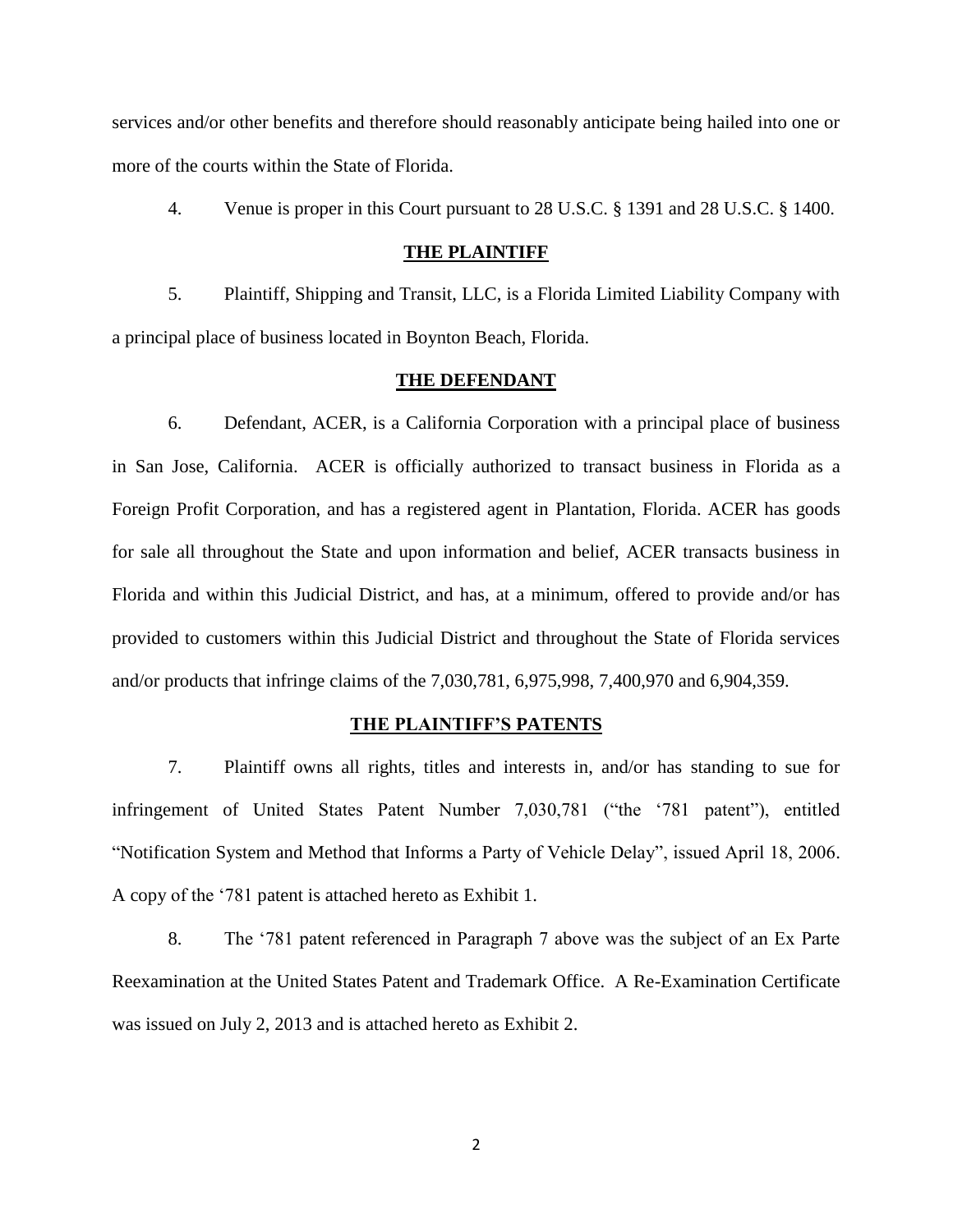services and/or other benefits and therefore should reasonably anticipate being hailed into one or more of the courts within the State of Florida.

4. Venue is proper in this Court pursuant to 28 U.S.C. § 1391 and 28 U.S.C. § 1400.

#### **THE PLAINTIFF**

5. Plaintiff, Shipping and Transit, LLC, is a Florida Limited Liability Company with a principal place of business located in Boynton Beach, Florida.

#### **THE DEFENDANT**

6. Defendant, ACER, is a California Corporation with a principal place of business in San Jose, California. ACER is officially authorized to transact business in Florida as a Foreign Profit Corporation, and has a registered agent in Plantation, Florida. ACER has goods for sale all throughout the State and upon information and belief, ACER transacts business in Florida and within this Judicial District, and has, at a minimum, offered to provide and/or has provided to customers within this Judicial District and throughout the State of Florida services and/or products that infringe claims of the 7,030,781, 6,975,998, 7,400,970 and 6,904,359.

#### **THE PLAINTIFF'S PATENTS**

7. Plaintiff owns all rights, titles and interests in, and/or has standing to sue for infringement of United States Patent Number 7,030,781 ("the '781 patent"), entitled "Notification System and Method that Informs a Party of Vehicle Delay", issued April 18, 2006. A copy of the '781 patent is attached hereto as Exhibit 1.

8. The '781 patent referenced in Paragraph 7 above was the subject of an Ex Parte Reexamination at the United States Patent and Trademark Office. A Re-Examination Certificate was issued on July 2, 2013 and is attached hereto as Exhibit 2.

2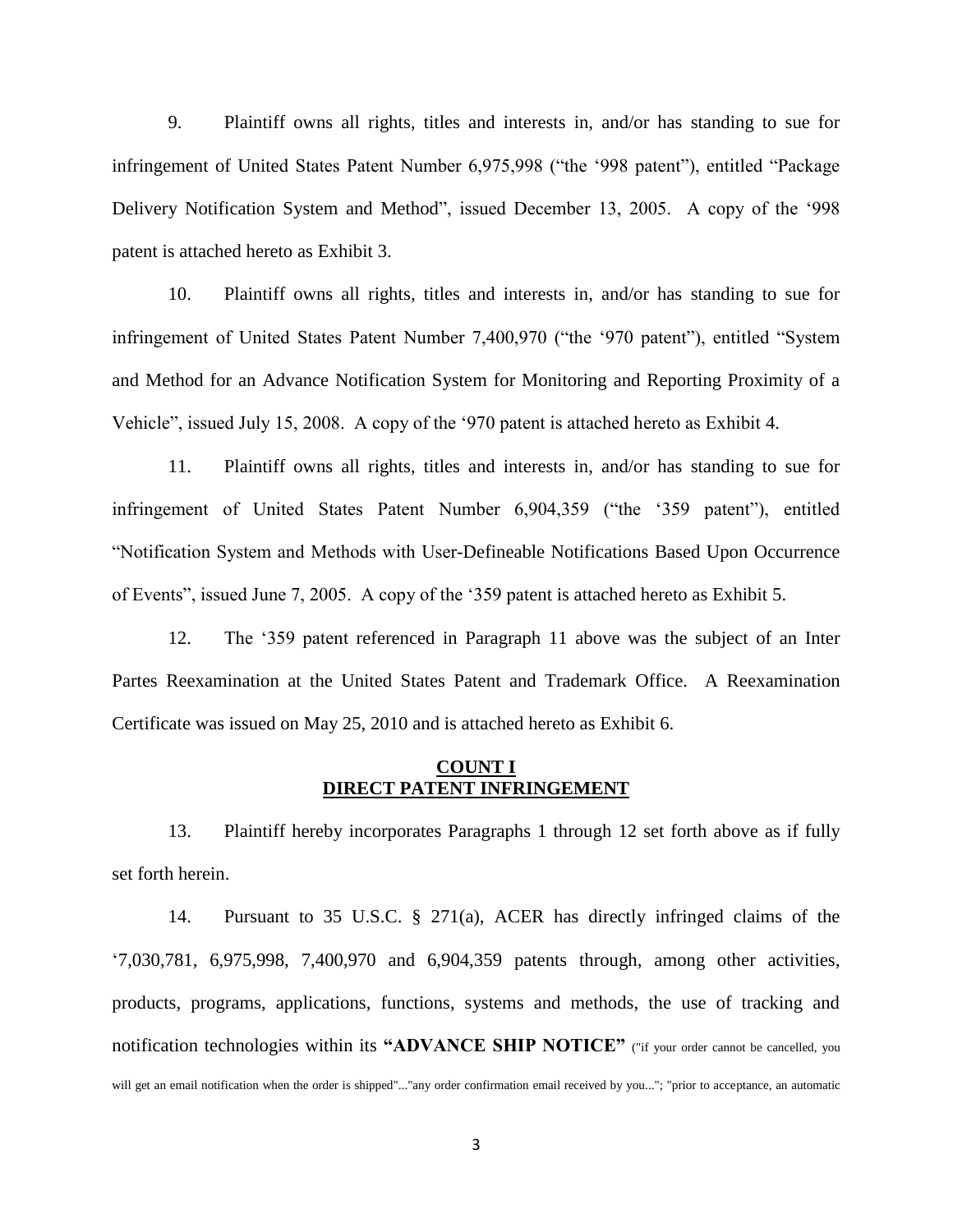9. Plaintiff owns all rights, titles and interests in, and/or has standing to sue for infringement of United States Patent Number 6,975,998 ("the '998 patent"), entitled "Package Delivery Notification System and Method", issued December 13, 2005. A copy of the '998 patent is attached hereto as Exhibit 3.

10. Plaintiff owns all rights, titles and interests in, and/or has standing to sue for infringement of United States Patent Number 7,400,970 ("the '970 patent"), entitled "System and Method for an Advance Notification System for Monitoring and Reporting Proximity of a Vehicle", issued July 15, 2008. A copy of the '970 patent is attached hereto as Exhibit 4.

11. Plaintiff owns all rights, titles and interests in, and/or has standing to sue for infringement of United States Patent Number 6,904,359 ("the '359 patent"), entitled "Notification System and Methods with User-Defineable Notifications Based Upon Occurrence of Events", issued June 7, 2005. A copy of the '359 patent is attached hereto as Exhibit 5.

12. The '359 patent referenced in Paragraph 11 above was the subject of an Inter Partes Reexamination at the United States Patent and Trademark Office. A Reexamination Certificate was issued on May 25, 2010 and is attached hereto as Exhibit 6.

## **COUNT I DIRECT PATENT INFRINGEMENT**

13. Plaintiff hereby incorporates Paragraphs 1 through 12 set forth above as if fully set forth herein.

14. Pursuant to 35 U.S.C. § 271(a), ACER has directly infringed claims of the '7,030,781, 6,975,998, 7,400,970 and 6,904,359 patents through, among other activities, products, programs, applications, functions, systems and methods, the use of tracking and notification technologies within its **"ADVANCE SHIP NOTICE"** ("if your order cannot be cancelled, you will get an email notification when the order is shipped"..."any order confirmation email received by you..."; "prior to acceptance, an automatic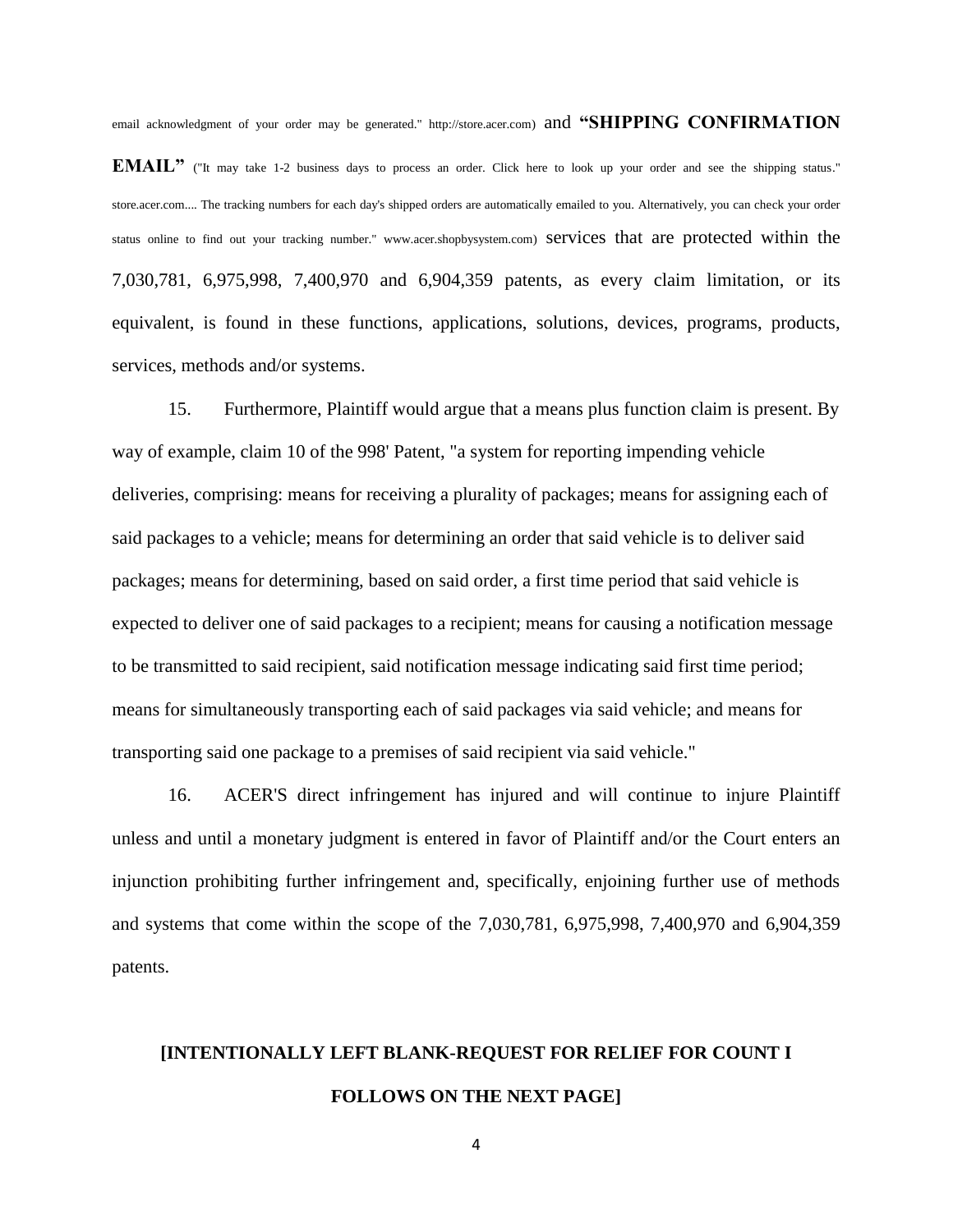email acknowledgment of your order may be generated." http://store.acer.com) and **"SHIPPING CONFIRMATION** 

**EMAIL**" ("It may take 1-2 business days to process an order. Click here to look up your order and see the shipping status." store.acer.com.... The tracking numbers for each day's shipped orders are automatically emailed to you. Alternatively, you can check your order status online to find out your tracking number." www.acer.shopbysystem.com) services that are protected within the 7,030,781, 6,975,998, 7,400,970 and 6,904,359 patents, as every claim limitation, or its equivalent, is found in these functions, applications, solutions, devices, programs, products, services, methods and/or systems.

15. Furthermore, Plaintiff would argue that a means plus function claim is present. By way of example, claim 10 of the 998' Patent, "a system for reporting impending vehicle deliveries, comprising: means for receiving a plurality of packages; means for assigning each of said packages to a vehicle; means for determining an order that said vehicle is to deliver said packages; means for determining, based on said order, a first time period that said vehicle is expected to deliver one of said packages to a recipient; means for causing a notification message to be transmitted to said recipient, said notification message indicating said first time period; means for simultaneously transporting each of said packages via said vehicle; and means for transporting said one package to a premises of said recipient via said vehicle."

16. ACER'S direct infringement has injured and will continue to injure Plaintiff unless and until a monetary judgment is entered in favor of Plaintiff and/or the Court enters an injunction prohibiting further infringement and, specifically, enjoining further use of methods and systems that come within the scope of the 7,030,781, 6,975,998, 7,400,970 and 6,904,359 patents.

# **[INTENTIONALLY LEFT BLANK-REQUEST FOR RELIEF FOR COUNT I FOLLOWS ON THE NEXT PAGE]**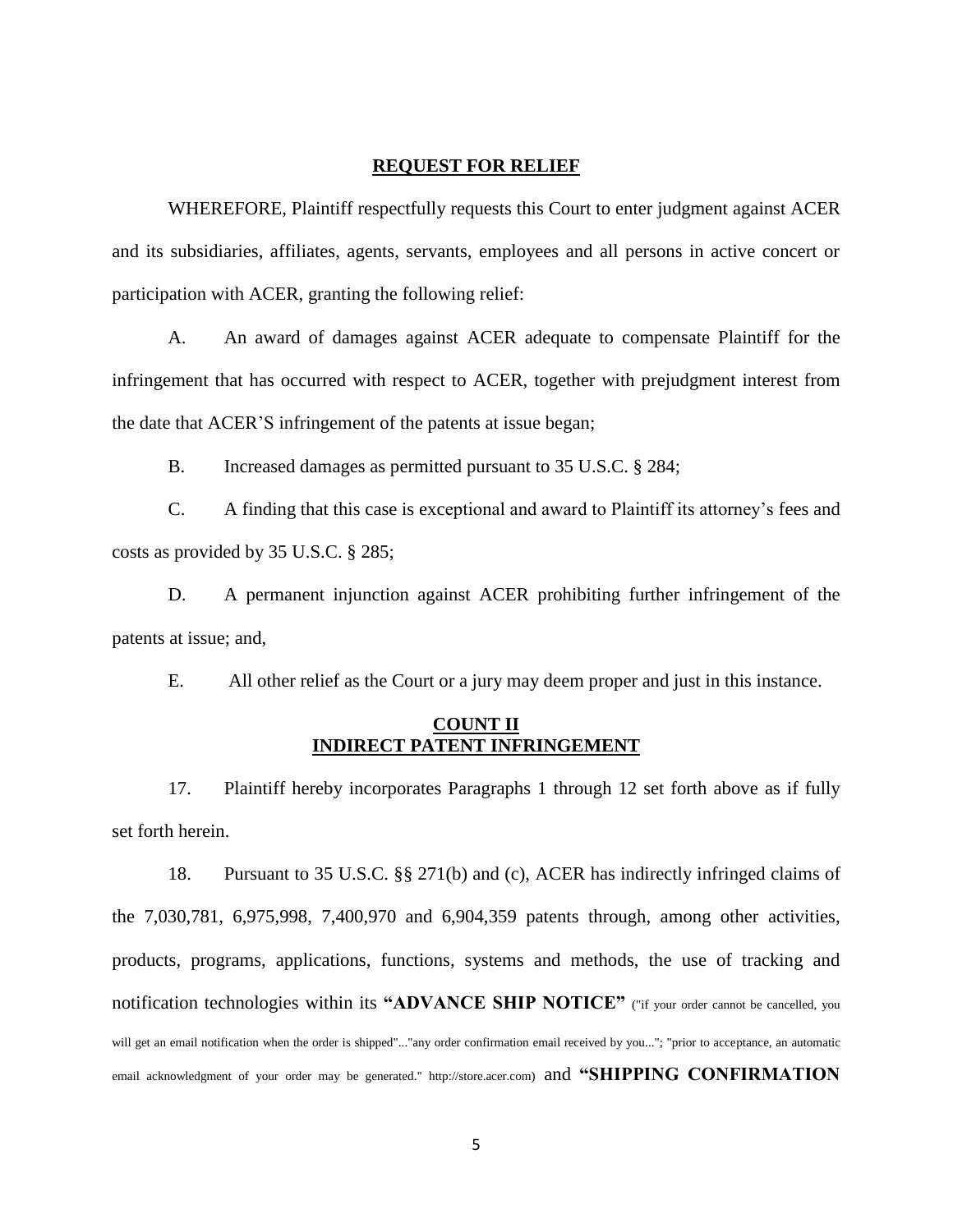#### **REQUEST FOR RELIEF**

WHEREFORE, Plaintiff respectfully requests this Court to enter judgment against ACER and its subsidiaries, affiliates, agents, servants, employees and all persons in active concert or participation with ACER, granting the following relief:

A. An award of damages against ACER adequate to compensate Plaintiff for the infringement that has occurred with respect to ACER, together with prejudgment interest from the date that ACER'S infringement of the patents at issue began;

B. Increased damages as permitted pursuant to 35 U.S.C. § 284;

C. A finding that this case is exceptional and award to Plaintiff its attorney's fees and costs as provided by 35 U.S.C. § 285;

D. A permanent injunction against ACER prohibiting further infringement of the patents at issue; and,

E. All other relief as the Court or a jury may deem proper and just in this instance.

# **COUNT II INDIRECT PATENT INFRINGEMENT**

17. Plaintiff hereby incorporates Paragraphs 1 through 12 set forth above as if fully set forth herein.

18. Pursuant to 35 U.S.C. §§ 271(b) and (c), ACER has indirectly infringed claims of the 7,030,781, 6,975,998, 7,400,970 and 6,904,359 patents through, among other activities, products, programs, applications, functions, systems and methods, the use of tracking and notification technologies within its **"ADVANCE SHIP NOTICE"** ("if your order cannot be cancelled, you will get an email notification when the order is shipped"..."any order confirmation email received by you..."; "prior to acceptance, an automatic email acknowledgment of your order may be generated." http://store.acer.com) and **"SHIPPING CONFIRMATION**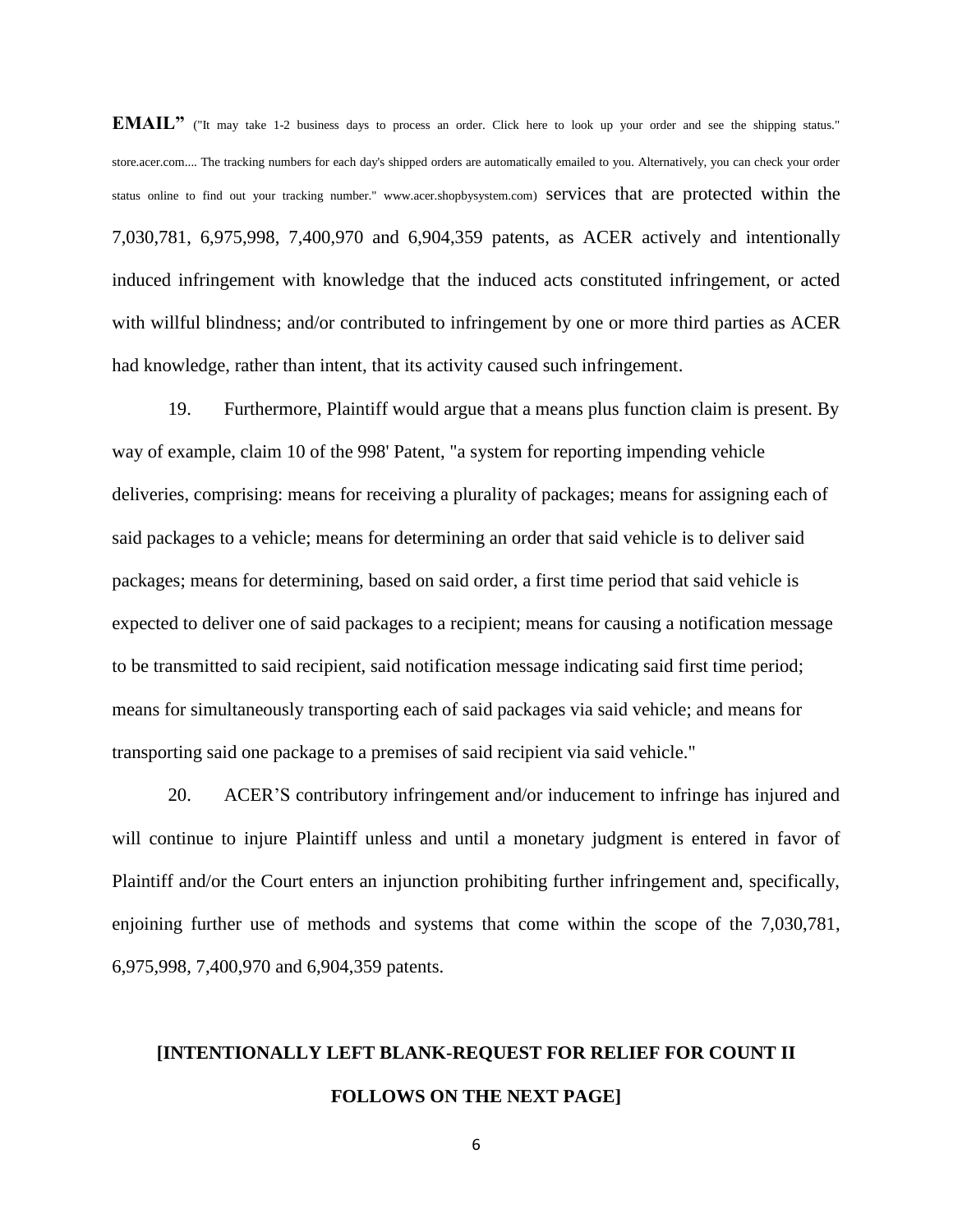**EMAIL**<sup>"</sup> ("It may take 1-2 business days to process an order. Click here to look up your order and see the shipping status." store.acer.com.... The tracking numbers for each day's shipped orders are automatically emailed to you. Alternatively, you can check your order status online to find out your tracking number." www.acer.shopbysystem.com) services that are protected within the 7,030,781, 6,975,998, 7,400,970 and 6,904,359 patents, as ACER actively and intentionally induced infringement with knowledge that the induced acts constituted infringement, or acted with willful blindness; and/or contributed to infringement by one or more third parties as ACER had knowledge, rather than intent, that its activity caused such infringement.

19. Furthermore, Plaintiff would argue that a means plus function claim is present. By way of example, claim 10 of the 998' Patent, "a system for reporting impending vehicle deliveries, comprising: means for receiving a plurality of packages; means for assigning each of said packages to a vehicle; means for determining an order that said vehicle is to deliver said packages; means for determining, based on said order, a first time period that said vehicle is expected to deliver one of said packages to a recipient; means for causing a notification message to be transmitted to said recipient, said notification message indicating said first time period; means for simultaneously transporting each of said packages via said vehicle; and means for transporting said one package to a premises of said recipient via said vehicle."

20. ACER'S contributory infringement and/or inducement to infringe has injured and will continue to injure Plaintiff unless and until a monetary judgment is entered in favor of Plaintiff and/or the Court enters an injunction prohibiting further infringement and, specifically, enjoining further use of methods and systems that come within the scope of the 7,030,781, 6,975,998, 7,400,970 and 6,904,359 patents.

# **[INTENTIONALLY LEFT BLANK-REQUEST FOR RELIEF FOR COUNT II FOLLOWS ON THE NEXT PAGE]**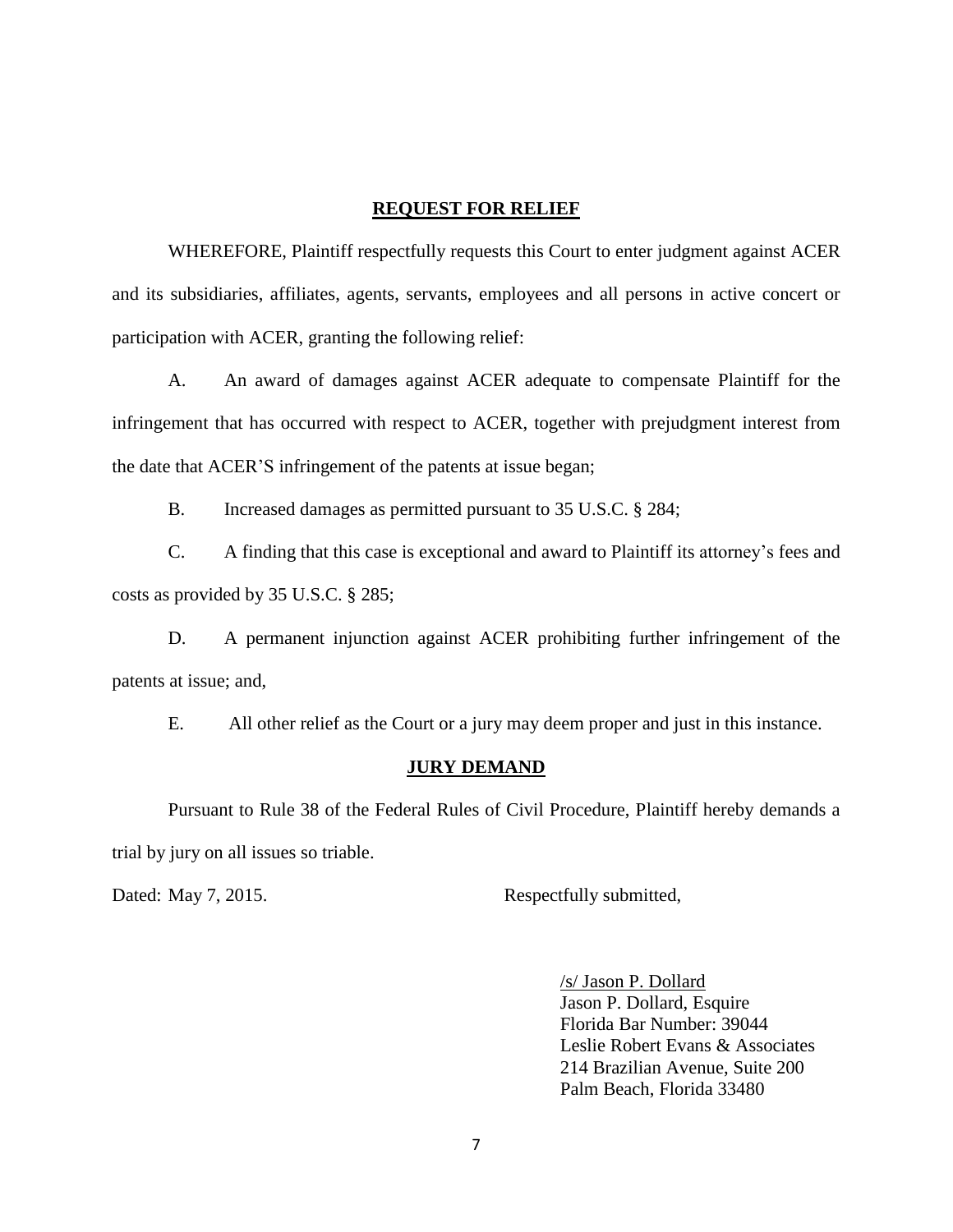## **REQUEST FOR RELIEF**

WHEREFORE, Plaintiff respectfully requests this Court to enter judgment against ACER and its subsidiaries, affiliates, agents, servants, employees and all persons in active concert or participation with ACER, granting the following relief:

A. An award of damages against ACER adequate to compensate Plaintiff for the infringement that has occurred with respect to ACER, together with prejudgment interest from the date that ACER'S infringement of the patents at issue began;

B. Increased damages as permitted pursuant to 35 U.S.C. § 284;

C. A finding that this case is exceptional and award to Plaintiff its attorney's fees and costs as provided by 35 U.S.C. § 285;

D. A permanent injunction against ACER prohibiting further infringement of the patents at issue; and,

E. All other relief as the Court or a jury may deem proper and just in this instance.

## **JURY DEMAND**

Pursuant to Rule 38 of the Federal Rules of Civil Procedure, Plaintiff hereby demands a trial by jury on all issues so triable.

Dated: May 7, 2015. Respectfully submitted,

/s/ Jason P. Dollard Jason P. Dollard, Esquire Florida Bar Number: 39044 Leslie Robert Evans & Associates 214 Brazilian Avenue, Suite 200 Palm Beach, Florida 33480